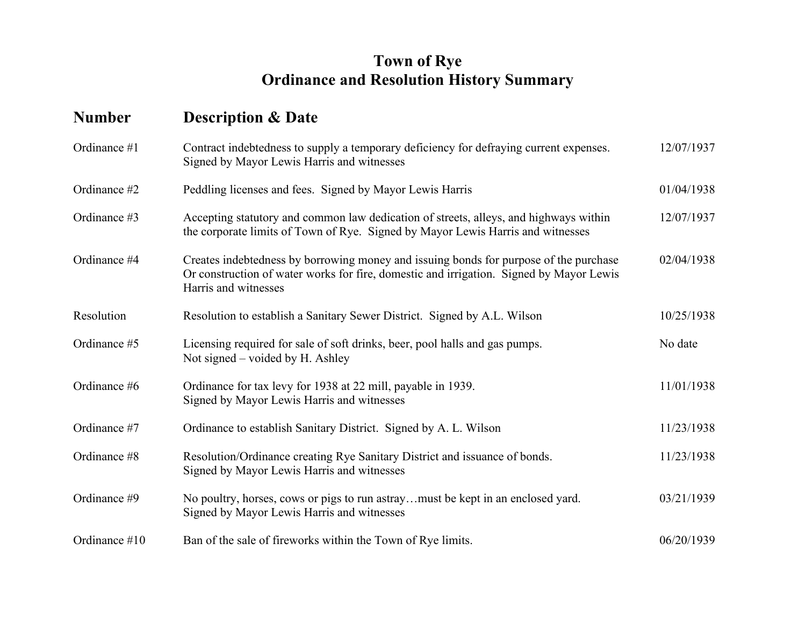## **Town of Rye Ordinance and Resolution History Summary**

## **Number Description & Date**

| Ordinance #1  | Contract indebtedness to supply a temporary deficiency for defraying current expenses.<br>Signed by Mayor Lewis Harris and witnesses                                                                     | 12/07/1937 |
|---------------|----------------------------------------------------------------------------------------------------------------------------------------------------------------------------------------------------------|------------|
| Ordinance #2  | Peddling licenses and fees. Signed by Mayor Lewis Harris                                                                                                                                                 | 01/04/1938 |
| Ordinance #3  | Accepting statutory and common law dedication of streets, alleys, and highways within<br>the corporate limits of Town of Rye. Signed by Mayor Lewis Harris and witnesses                                 | 12/07/1937 |
| Ordinance #4  | Creates indebtedness by borrowing money and issuing bonds for purpose of the purchase<br>Or construction of water works for fire, domestic and irrigation. Signed by Mayor Lewis<br>Harris and witnesses | 02/04/1938 |
| Resolution    | Resolution to establish a Sanitary Sewer District. Signed by A.L. Wilson                                                                                                                                 | 10/25/1938 |
| Ordinance #5  | Licensing required for sale of soft drinks, beer, pool halls and gas pumps.<br>Not signed – voided by H. Ashley                                                                                          | No date    |
| Ordinance #6  | Ordinance for tax levy for 1938 at 22 mill, payable in 1939.<br>Signed by Mayor Lewis Harris and witnesses                                                                                               | 11/01/1938 |
| Ordinance #7  | Ordinance to establish Sanitary District. Signed by A. L. Wilson                                                                                                                                         | 11/23/1938 |
| Ordinance #8  | Resolution/Ordinance creating Rye Sanitary District and issuance of bonds.<br>Signed by Mayor Lewis Harris and witnesses                                                                                 | 11/23/1938 |
| Ordinance #9  | No poultry, horses, cows or pigs to run astraymust be kept in an enclosed yard.<br>Signed by Mayor Lewis Harris and witnesses                                                                            | 03/21/1939 |
| Ordinance #10 | Ban of the sale of fireworks within the Town of Rye limits.                                                                                                                                              | 06/20/1939 |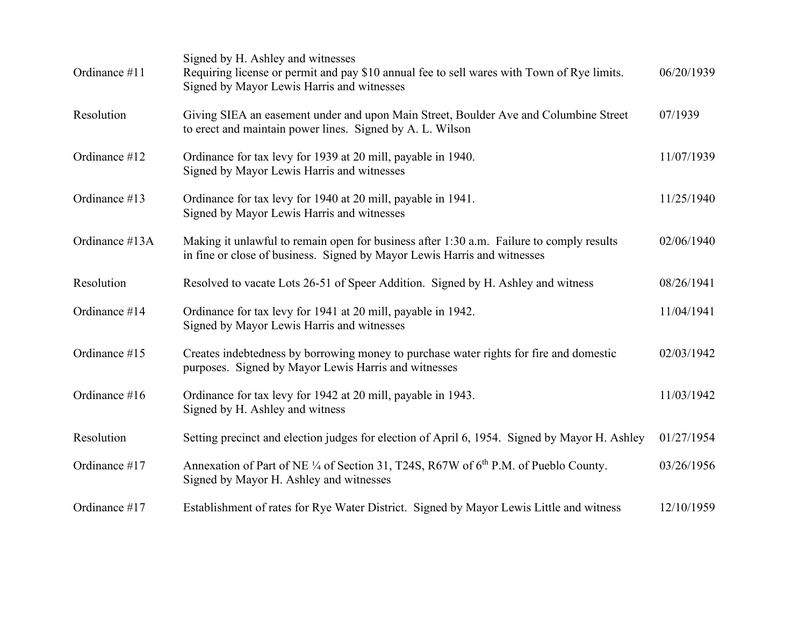| Ordinance #11  | Signed by H. Ashley and witnesses<br>Requiring license or permit and pay \$10 annual fee to sell wares with Town of Rye limits.<br>Signed by Mayor Lewis Harris and witnesses | 06/20/1939 |
|----------------|-------------------------------------------------------------------------------------------------------------------------------------------------------------------------------|------------|
| Resolution     | Giving SIEA an easement under and upon Main Street, Boulder Ave and Columbine Street<br>to erect and maintain power lines. Signed by A. L. Wilson                             | 07/1939    |
| Ordinance #12  | Ordinance for tax levy for 1939 at 20 mill, payable in 1940.<br>Signed by Mayor Lewis Harris and witnesses                                                                    | 11/07/1939 |
| Ordinance #13  | Ordinance for tax levy for 1940 at 20 mill, payable in 1941.<br>Signed by Mayor Lewis Harris and witnesses                                                                    | 11/25/1940 |
| Ordinance #13A | Making it unlawful to remain open for business after 1:30 a.m. Failure to comply results<br>in fine or close of business. Signed by Mayor Lewis Harris and witnesses          | 02/06/1940 |
| Resolution     | Resolved to vacate Lots 26-51 of Speer Addition. Signed by H. Ashley and witness                                                                                              | 08/26/1941 |
| Ordinance #14  | Ordinance for tax levy for 1941 at 20 mill, payable in 1942.<br>Signed by Mayor Lewis Harris and witnesses                                                                    | 11/04/1941 |
| Ordinance #15  | Creates indebtedness by borrowing money to purchase water rights for fire and domestic<br>purposes. Signed by Mayor Lewis Harris and witnesses                                | 02/03/1942 |
| Ordinance #16  | Ordinance for tax levy for 1942 at 20 mill, payable in 1943.<br>Signed by H. Ashley and witness                                                                               | 11/03/1942 |
| Resolution     | Setting precinct and election judges for election of April 6, 1954. Signed by Mayor H. Ashley                                                                                 | 01/27/1954 |
| Ordinance #17  | Annexation of Part of NE 1/4 of Section 31, T24S, R67W of 6 <sup>th</sup> P.M. of Pueblo County.<br>Signed by Mayor H. Ashley and witnesses                                   | 03/26/1956 |
| Ordinance #17  | Establishment of rates for Rye Water District. Signed by Mayor Lewis Little and witness                                                                                       | 12/10/1959 |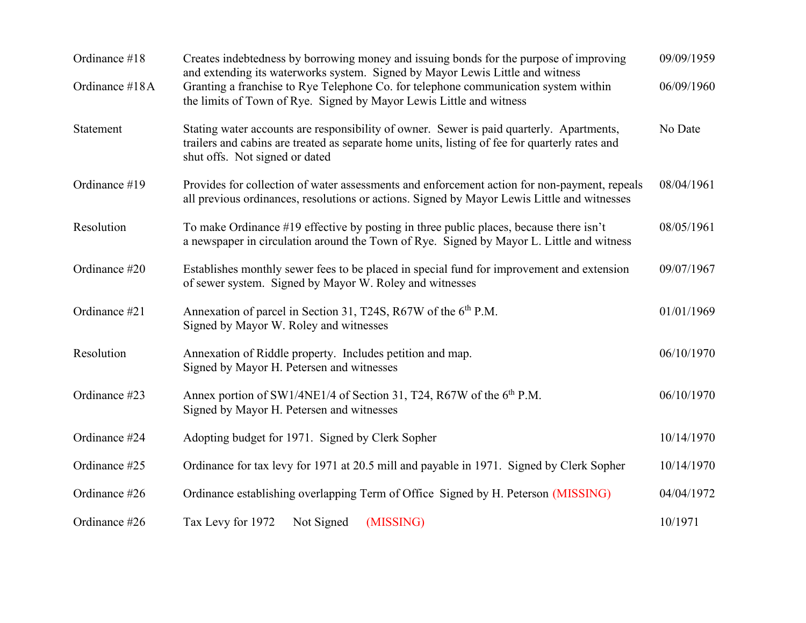| Ordinance #18  | Creates indebtedness by borrowing money and issuing bonds for the purpose of improving<br>and extending its waterworks system. Signed by Mayor Lewis Little and witness                                                      | 09/09/1959 |
|----------------|------------------------------------------------------------------------------------------------------------------------------------------------------------------------------------------------------------------------------|------------|
| Ordinance #18A | Granting a franchise to Rye Telephone Co. for telephone communication system within<br>the limits of Town of Rye. Signed by Mayor Lewis Little and witness                                                                   | 06/09/1960 |
| Statement      | Stating water accounts are responsibility of owner. Sewer is paid quarterly. Apartments,<br>trailers and cabins are treated as separate home units, listing of fee for quarterly rates and<br>shut offs. Not signed or dated | No Date    |
| Ordinance #19  | Provides for collection of water assessments and enforcement action for non-payment, repeals<br>all previous ordinances, resolutions or actions. Signed by Mayor Lewis Little and witnesses                                  | 08/04/1961 |
| Resolution     | To make Ordinance #19 effective by posting in three public places, because there isn't<br>a newspaper in circulation around the Town of Rye. Signed by Mayor L. Little and witness                                           | 08/05/1961 |
| Ordinance #20  | Establishes monthly sewer fees to be placed in special fund for improvement and extension<br>of sewer system. Signed by Mayor W. Roley and witnesses                                                                         | 09/07/1967 |
| Ordinance #21  | Annexation of parcel in Section 31, T24S, R67W of the 6 <sup>th</sup> P.M.<br>Signed by Mayor W. Roley and witnesses                                                                                                         | 01/01/1969 |
| Resolution     | Annexation of Riddle property. Includes petition and map.<br>Signed by Mayor H. Petersen and witnesses                                                                                                                       | 06/10/1970 |
| Ordinance #23  | Annex portion of SW1/4NE1/4 of Section 31, T24, R67W of the 6 <sup>th</sup> P.M.<br>Signed by Mayor H. Petersen and witnesses                                                                                                | 06/10/1970 |
| Ordinance #24  | Adopting budget for 1971. Signed by Clerk Sopher                                                                                                                                                                             | 10/14/1970 |
| Ordinance #25  | Ordinance for tax levy for 1971 at 20.5 mill and payable in 1971. Signed by Clerk Sopher                                                                                                                                     | 10/14/1970 |
| Ordinance #26  | Ordinance establishing overlapping Term of Office Signed by H. Peterson (MISSING)                                                                                                                                            | 04/04/1972 |
| Ordinance #26  | Not Signed<br>(MISSING)<br>Tax Levy for 1972                                                                                                                                                                                 | 10/1971    |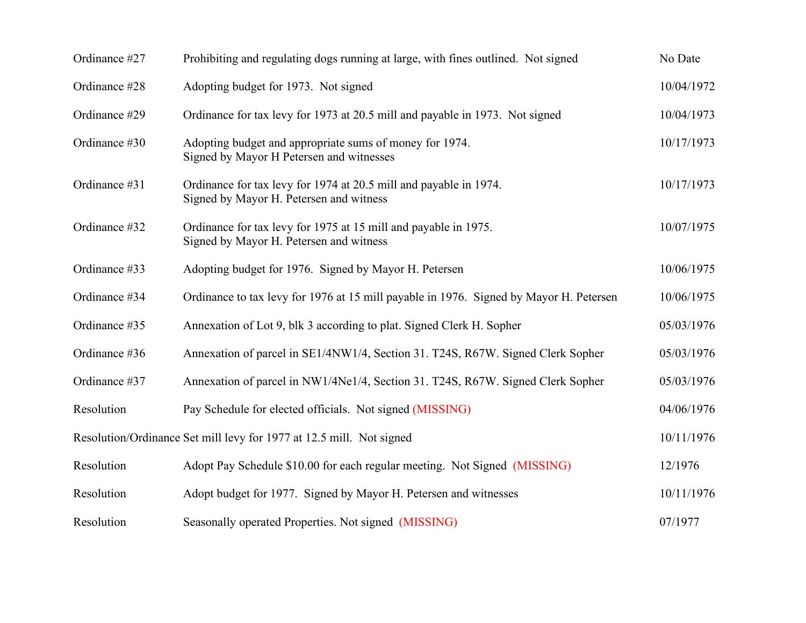| Ordinance #27 | Prohibiting and regulating dogs running at large, with fines outlined. Not signed                            | No Date    |
|---------------|--------------------------------------------------------------------------------------------------------------|------------|
| Ordinance #28 | Adopting budget for 1973. Not signed                                                                         | 10/04/1972 |
| Ordinance #29 | Ordinance for tax levy for 1973 at 20.5 mill and payable in 1973. Not signed                                 | 10/04/1973 |
| Ordinance #30 | Adopting budget and appropriate sums of money for 1974.<br>Signed by Mayor H Petersen and witnesses          | 10/17/1973 |
| Ordinance #31 | Ordinance for tax levy for 1974 at 20.5 mill and payable in 1974.<br>Signed by Mayor H. Petersen and witness | 10/17/1973 |
| Ordinance #32 | Ordinance for tax levy for 1975 at 15 mill and payable in 1975.<br>Signed by Mayor H. Petersen and witness   | 10/07/1975 |
| Ordinance #33 | Adopting budget for 1976. Signed by Mayor H. Petersen                                                        | 10/06/1975 |
| Ordinance #34 | Ordinance to tax levy for 1976 at 15 mill payable in 1976. Signed by Mayor H. Petersen                       | 10/06/1975 |
| Ordinance #35 | Annexation of Lot 9, blk 3 according to plat. Signed Clerk H. Sopher                                         | 05/03/1976 |
| Ordinance #36 | Annexation of parcel in SE1/4NW1/4, Section 31. T24S, R67W. Signed Clerk Sopher                              | 05/03/1976 |
| Ordinance #37 | Annexation of parcel in NW1/4Ne1/4, Section 31. T24S, R67W. Signed Clerk Sopher                              | 05/03/1976 |
| Resolution    | Pay Schedule for elected officials. Not signed (MISSING)                                                     | 04/06/1976 |
|               | Resolution/Ordinance Set mill levy for 1977 at 12.5 mill. Not signed                                         | 10/11/1976 |
| Resolution    | Adopt Pay Schedule \$10.00 for each regular meeting. Not Signed (MISSING)                                    | 12/1976    |
| Resolution    | Adopt budget for 1977. Signed by Mayor H. Petersen and witnesses                                             | 10/11/1976 |
| Resolution    | Seasonally operated Properties. Not signed (MISSING)                                                         | 07/1977    |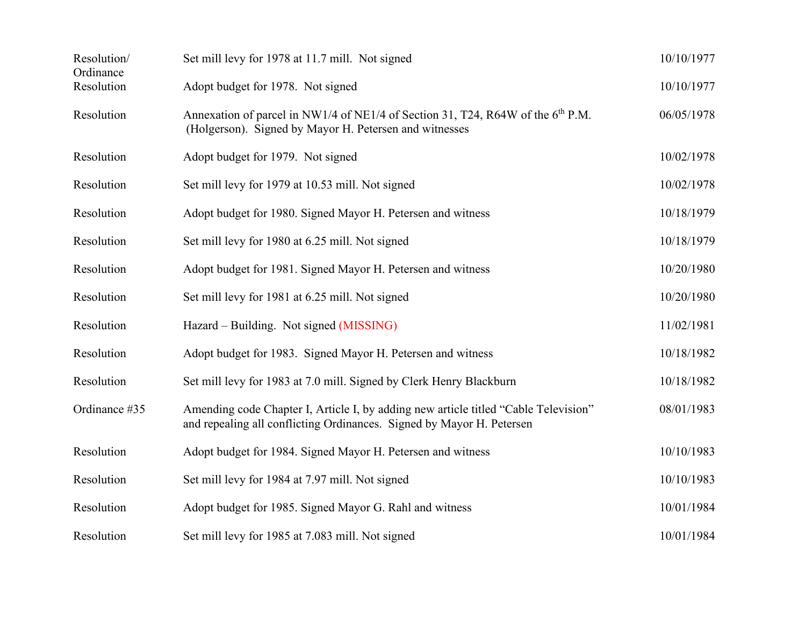| Resolution/<br>Ordinance | Set mill levy for 1978 at 11.7 mill. Not signed                                                                                                              | 10/10/1977 |
|--------------------------|--------------------------------------------------------------------------------------------------------------------------------------------------------------|------------|
| Resolution               | Adopt budget for 1978. Not signed                                                                                                                            | 10/10/1977 |
| Resolution               | Annexation of parcel in NW1/4 of NE1/4 of Section 31, T24, R64W of the 6 <sup>th</sup> P.M.<br>(Holgerson). Signed by Mayor H. Petersen and witnesses        | 06/05/1978 |
| Resolution               | Adopt budget for 1979. Not signed                                                                                                                            | 10/02/1978 |
| Resolution               | Set mill levy for 1979 at 10.53 mill. Not signed                                                                                                             | 10/02/1978 |
| Resolution               | Adopt budget for 1980. Signed Mayor H. Petersen and witness                                                                                                  | 10/18/1979 |
| Resolution               | Set mill levy for 1980 at 6.25 mill. Not signed                                                                                                              | 10/18/1979 |
| Resolution               | Adopt budget for 1981. Signed Mayor H. Petersen and witness                                                                                                  | 10/20/1980 |
| Resolution               | Set mill levy for 1981 at 6.25 mill. Not signed                                                                                                              | 10/20/1980 |
| Resolution               | Hazard – Building. Not signed (MISSING)                                                                                                                      | 11/02/1981 |
| Resolution               | Adopt budget for 1983. Signed Mayor H. Petersen and witness                                                                                                  | 10/18/1982 |
| Resolution               | Set mill levy for 1983 at 7.0 mill. Signed by Clerk Henry Blackburn                                                                                          | 10/18/1982 |
| Ordinance #35            | Amending code Chapter I, Article I, by adding new article titled "Cable Television"<br>and repealing all conflicting Ordinances. Signed by Mayor H. Petersen | 08/01/1983 |
| Resolution               | Adopt budget for 1984. Signed Mayor H. Petersen and witness                                                                                                  | 10/10/1983 |
| Resolution               | Set mill levy for 1984 at 7.97 mill. Not signed                                                                                                              | 10/10/1983 |
| Resolution               | Adopt budget for 1985. Signed Mayor G. Rahl and witness                                                                                                      | 10/01/1984 |
| Resolution               | Set mill levy for 1985 at 7.083 mill. Not signed                                                                                                             | 10/01/1984 |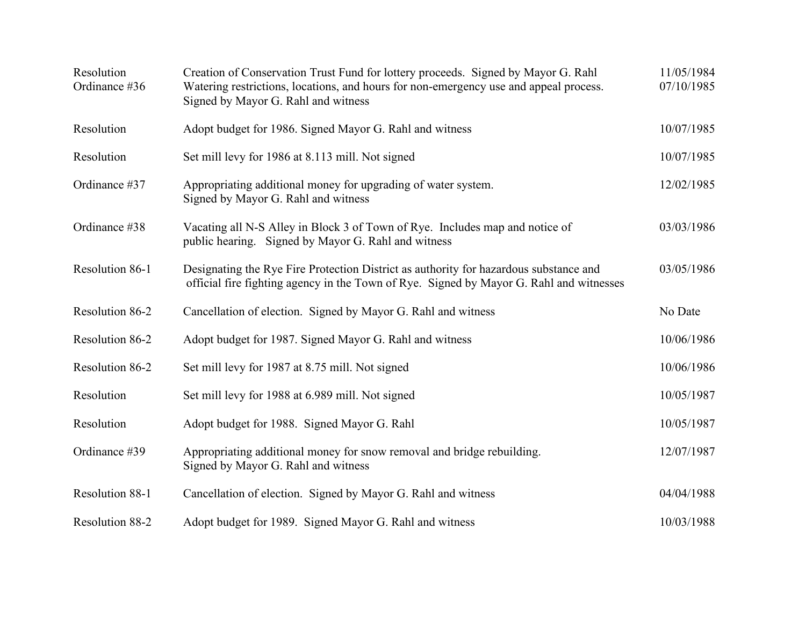| Resolution<br>Ordinance #36 | Creation of Conservation Trust Fund for lottery proceeds. Signed by Mayor G. Rahl<br>Watering restrictions, locations, and hours for non-emergency use and appeal process.<br>Signed by Mayor G. Rahl and witness | 11/05/1984<br>07/10/1985 |
|-----------------------------|-------------------------------------------------------------------------------------------------------------------------------------------------------------------------------------------------------------------|--------------------------|
| Resolution                  | Adopt budget for 1986. Signed Mayor G. Rahl and witness                                                                                                                                                           | 10/07/1985               |
| Resolution                  | Set mill levy for 1986 at 8.113 mill. Not signed                                                                                                                                                                  | 10/07/1985               |
| Ordinance #37               | Appropriating additional money for upgrading of water system.<br>Signed by Mayor G. Rahl and witness                                                                                                              | 12/02/1985               |
| Ordinance #38               | Vacating all N-S Alley in Block 3 of Town of Rye. Includes map and notice of<br>public hearing. Signed by Mayor G. Rahl and witness                                                                               | 03/03/1986               |
| Resolution 86-1             | Designating the Rye Fire Protection District as authority for hazardous substance and<br>official fire fighting agency in the Town of Rye. Signed by Mayor G. Rahl and witnesses                                  | 03/05/1986               |
| Resolution 86-2             | Cancellation of election. Signed by Mayor G. Rahl and witness                                                                                                                                                     | No Date                  |
| Resolution 86-2             | Adopt budget for 1987. Signed Mayor G. Rahl and witness                                                                                                                                                           | 10/06/1986               |
| Resolution 86-2             | Set mill levy for 1987 at 8.75 mill. Not signed                                                                                                                                                                   | 10/06/1986               |
| Resolution                  | Set mill levy for 1988 at 6.989 mill. Not signed                                                                                                                                                                  | 10/05/1987               |
| Resolution                  | Adopt budget for 1988. Signed Mayor G. Rahl                                                                                                                                                                       | 10/05/1987               |
| Ordinance #39               | Appropriating additional money for snow removal and bridge rebuilding.<br>Signed by Mayor G. Rahl and witness                                                                                                     | 12/07/1987               |
| Resolution 88-1             | Cancellation of election. Signed by Mayor G. Rahl and witness                                                                                                                                                     | 04/04/1988               |
| <b>Resolution 88-2</b>      | Adopt budget for 1989. Signed Mayor G. Rahl and witness                                                                                                                                                           | 10/03/1988               |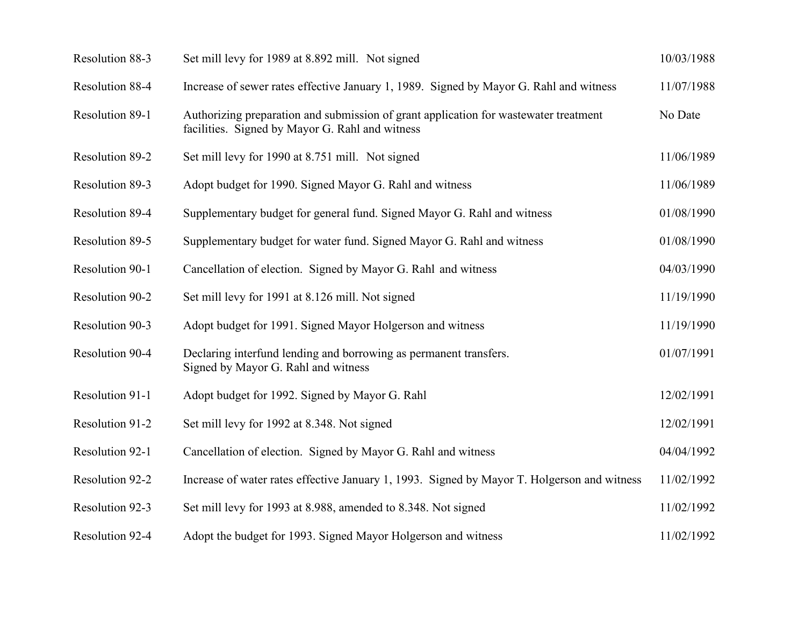| Resolution 88-3 | Set mill levy for 1989 at 8.892 mill. Not signed                                                                                        | 10/03/1988 |
|-----------------|-----------------------------------------------------------------------------------------------------------------------------------------|------------|
| Resolution 88-4 | Increase of sewer rates effective January 1, 1989. Signed by Mayor G. Rahl and witness                                                  | 11/07/1988 |
| Resolution 89-1 | Authorizing preparation and submission of grant application for wastewater treatment<br>facilities. Signed by Mayor G. Rahl and witness | No Date    |
| Resolution 89-2 | Set mill levy for 1990 at 8.751 mill. Not signed                                                                                        | 11/06/1989 |
| Resolution 89-3 | Adopt budget for 1990. Signed Mayor G. Rahl and witness                                                                                 | 11/06/1989 |
| Resolution 89-4 | Supplementary budget for general fund. Signed Mayor G. Rahl and witness                                                                 | 01/08/1990 |
| Resolution 89-5 | Supplementary budget for water fund. Signed Mayor G. Rahl and witness                                                                   | 01/08/1990 |
| Resolution 90-1 | Cancellation of election. Signed by Mayor G. Rahl and witness                                                                           | 04/03/1990 |
| Resolution 90-2 | Set mill levy for 1991 at 8.126 mill. Not signed                                                                                        | 11/19/1990 |
| Resolution 90-3 | Adopt budget for 1991. Signed Mayor Holgerson and witness                                                                               | 11/19/1990 |
| Resolution 90-4 | Declaring interfund lending and borrowing as permanent transfers.<br>Signed by Mayor G. Rahl and witness                                | 01/07/1991 |
| Resolution 91-1 | Adopt budget for 1992. Signed by Mayor G. Rahl                                                                                          | 12/02/1991 |
| Resolution 91-2 | Set mill levy for 1992 at 8.348. Not signed                                                                                             | 12/02/1991 |
| Resolution 92-1 | Cancellation of election. Signed by Mayor G. Rahl and witness                                                                           | 04/04/1992 |
| Resolution 92-2 | Increase of water rates effective January 1, 1993. Signed by Mayor T. Holgerson and witness                                             | 11/02/1992 |
| Resolution 92-3 | Set mill levy for 1993 at 8.988, amended to 8.348. Not signed                                                                           | 11/02/1992 |
| Resolution 92-4 | Adopt the budget for 1993. Signed Mayor Holgerson and witness                                                                           | 11/02/1992 |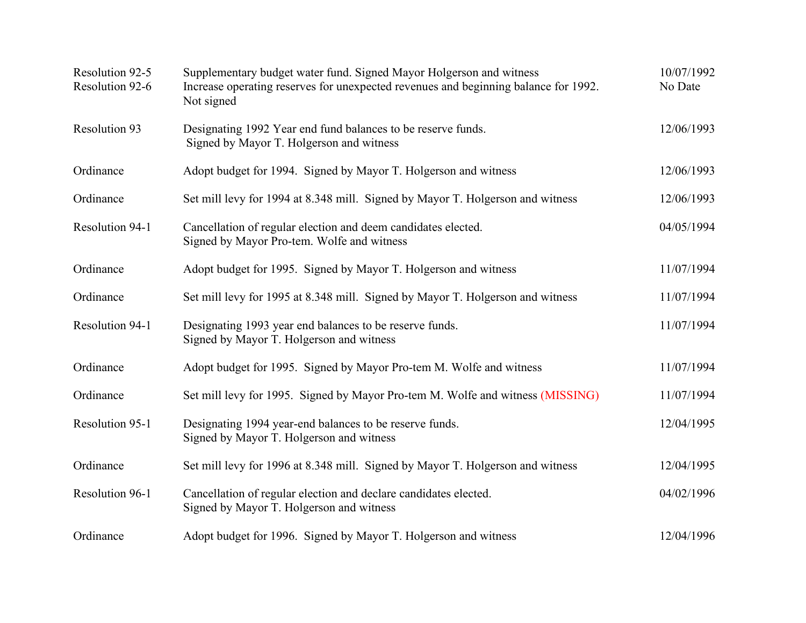| Resolution 92-5<br>Resolution 92-6 | Supplementary budget water fund. Signed Mayor Holgerson and witness<br>Increase operating reserves for unexpected revenues and beginning balance for 1992.<br>Not signed | 10/07/1992<br>No Date |
|------------------------------------|--------------------------------------------------------------------------------------------------------------------------------------------------------------------------|-----------------------|
| <b>Resolution 93</b>               | Designating 1992 Year end fund balances to be reserve funds.<br>Signed by Mayor T. Holgerson and witness                                                                 | 12/06/1993            |
| Ordinance                          | Adopt budget for 1994. Signed by Mayor T. Holgerson and witness                                                                                                          | 12/06/1993            |
| Ordinance                          | Set mill levy for 1994 at 8.348 mill. Signed by Mayor T. Holgerson and witness                                                                                           | 12/06/1993            |
| Resolution 94-1                    | Cancellation of regular election and deem candidates elected.<br>Signed by Mayor Pro-tem. Wolfe and witness                                                              | 04/05/1994            |
| Ordinance                          | Adopt budget for 1995. Signed by Mayor T. Holgerson and witness                                                                                                          | 11/07/1994            |
| Ordinance                          | Set mill levy for 1995 at 8.348 mill. Signed by Mayor T. Holgerson and witness                                                                                           | 11/07/1994            |
| Resolution 94-1                    | Designating 1993 year end balances to be reserve funds.<br>Signed by Mayor T. Holgerson and witness                                                                      | 11/07/1994            |
| Ordinance                          | Adopt budget for 1995. Signed by Mayor Pro-tem M. Wolfe and witness                                                                                                      | 11/07/1994            |
| Ordinance                          | Set mill levy for 1995. Signed by Mayor Pro-tem M. Wolfe and witness (MISSING)                                                                                           | 11/07/1994            |
| Resolution 95-1                    | Designating 1994 year-end balances to be reserve funds.<br>Signed by Mayor T. Holgerson and witness                                                                      | 12/04/1995            |
| Ordinance                          | Set mill levy for 1996 at 8.348 mill. Signed by Mayor T. Holgerson and witness                                                                                           | 12/04/1995            |
| Resolution 96-1                    | Cancellation of regular election and declare candidates elected.<br>Signed by Mayor T. Holgerson and witness                                                             | 04/02/1996            |
| Ordinance                          | Adopt budget for 1996. Signed by Mayor T. Holgerson and witness                                                                                                          | 12/04/1996            |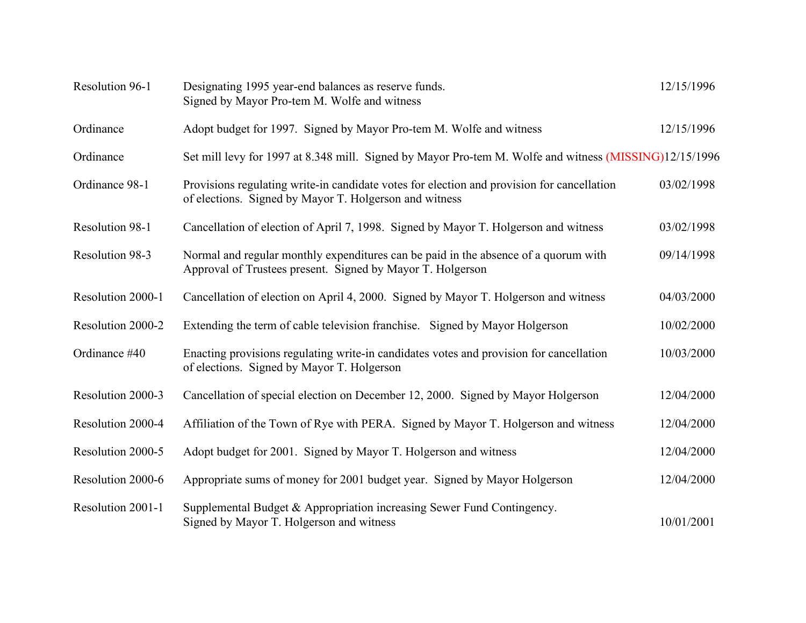| Resolution 96-1   | Designating 1995 year-end balances as reserve funds.<br>Signed by Mayor Pro-tem M. Wolfe and witness                                                 | 12/15/1996 |
|-------------------|------------------------------------------------------------------------------------------------------------------------------------------------------|------------|
| Ordinance         | Adopt budget for 1997. Signed by Mayor Pro-tem M. Wolfe and witness                                                                                  | 12/15/1996 |
| Ordinance         | Set mill levy for 1997 at 8.348 mill. Signed by Mayor Pro-tem M. Wolfe and witness (MISSING)12/15/1996                                               |            |
| Ordinance 98-1    | Provisions regulating write-in candidate votes for election and provision for cancellation<br>of elections. Signed by Mayor T. Holgerson and witness | 03/02/1998 |
| Resolution 98-1   | Cancellation of election of April 7, 1998. Signed by Mayor T. Holgerson and witness                                                                  | 03/02/1998 |
| Resolution 98-3   | Normal and regular monthly expenditures can be paid in the absence of a quorum with<br>Approval of Trustees present. Signed by Mayor T. Holgerson    | 09/14/1998 |
| Resolution 2000-1 | Cancellation of election on April 4, 2000. Signed by Mayor T. Holgerson and witness                                                                  | 04/03/2000 |
| Resolution 2000-2 | Extending the term of cable television franchise. Signed by Mayor Holgerson                                                                          | 10/02/2000 |
| Ordinance #40     | Enacting provisions regulating write-in candidates votes and provision for cancellation<br>of elections. Signed by Mayor T. Holgerson                | 10/03/2000 |
| Resolution 2000-3 | Cancellation of special election on December 12, 2000. Signed by Mayor Holgerson                                                                     | 12/04/2000 |
| Resolution 2000-4 | Affiliation of the Town of Rye with PERA. Signed by Mayor T. Holgerson and witness                                                                   | 12/04/2000 |
| Resolution 2000-5 | Adopt budget for 2001. Signed by Mayor T. Holgerson and witness                                                                                      | 12/04/2000 |
| Resolution 2000-6 | Appropriate sums of money for 2001 budget year. Signed by Mayor Holgerson                                                                            | 12/04/2000 |
| Resolution 2001-1 | Supplemental Budget & Appropriation increasing Sewer Fund Contingency.<br>Signed by Mayor T. Holgerson and witness                                   | 10/01/2001 |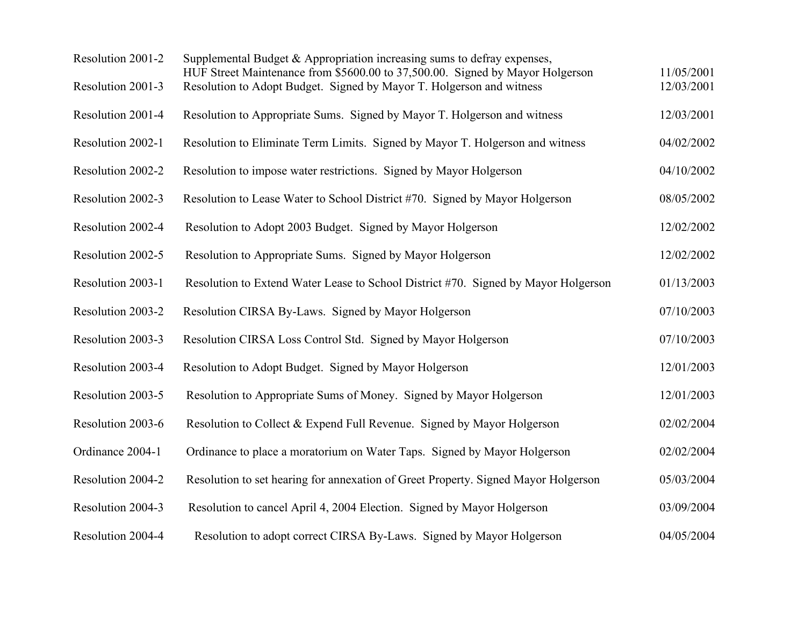| Resolution 2001-2 | Supplemental Budget & Appropriation increasing sums to defray expenses,<br>HUF Street Maintenance from \$5600.00 to 37,500.00. Signed by Mayor Holgerson | 11/05/2001 |
|-------------------|----------------------------------------------------------------------------------------------------------------------------------------------------------|------------|
| Resolution 2001-3 | Resolution to Adopt Budget. Signed by Mayor T. Holgerson and witness                                                                                     | 12/03/2001 |
| Resolution 2001-4 | Resolution to Appropriate Sums. Signed by Mayor T. Holgerson and witness                                                                                 | 12/03/2001 |
| Resolution 2002-1 | Resolution to Eliminate Term Limits. Signed by Mayor T. Holgerson and witness                                                                            | 04/02/2002 |
| Resolution 2002-2 | Resolution to impose water restrictions. Signed by Mayor Holgerson                                                                                       | 04/10/2002 |
| Resolution 2002-3 | Resolution to Lease Water to School District #70. Signed by Mayor Holgerson                                                                              | 08/05/2002 |
| Resolution 2002-4 | Resolution to Adopt 2003 Budget. Signed by Mayor Holgerson                                                                                               | 12/02/2002 |
| Resolution 2002-5 | Resolution to Appropriate Sums. Signed by Mayor Holgerson                                                                                                | 12/02/2002 |
| Resolution 2003-1 | Resolution to Extend Water Lease to School District #70. Signed by Mayor Holgerson                                                                       | 01/13/2003 |
| Resolution 2003-2 | Resolution CIRSA By-Laws. Signed by Mayor Holgerson                                                                                                      | 07/10/2003 |
| Resolution 2003-3 | Resolution CIRSA Loss Control Std. Signed by Mayor Holgerson                                                                                             | 07/10/2003 |
| Resolution 2003-4 | Resolution to Adopt Budget. Signed by Mayor Holgerson                                                                                                    | 12/01/2003 |
| Resolution 2003-5 | Resolution to Appropriate Sums of Money. Signed by Mayor Holgerson                                                                                       | 12/01/2003 |
| Resolution 2003-6 | Resolution to Collect & Expend Full Revenue. Signed by Mayor Holgerson                                                                                   | 02/02/2004 |
| Ordinance 2004-1  | Ordinance to place a moratorium on Water Taps. Signed by Mayor Holgerson                                                                                 | 02/02/2004 |
| Resolution 2004-2 | Resolution to set hearing for annexation of Greet Property. Signed Mayor Holgerson                                                                       | 05/03/2004 |
| Resolution 2004-3 | Resolution to cancel April 4, 2004 Election. Signed by Mayor Holgerson                                                                                   | 03/09/2004 |
| Resolution 2004-4 | Resolution to adopt correct CIRSA By-Laws. Signed by Mayor Holgerson                                                                                     | 04/05/2004 |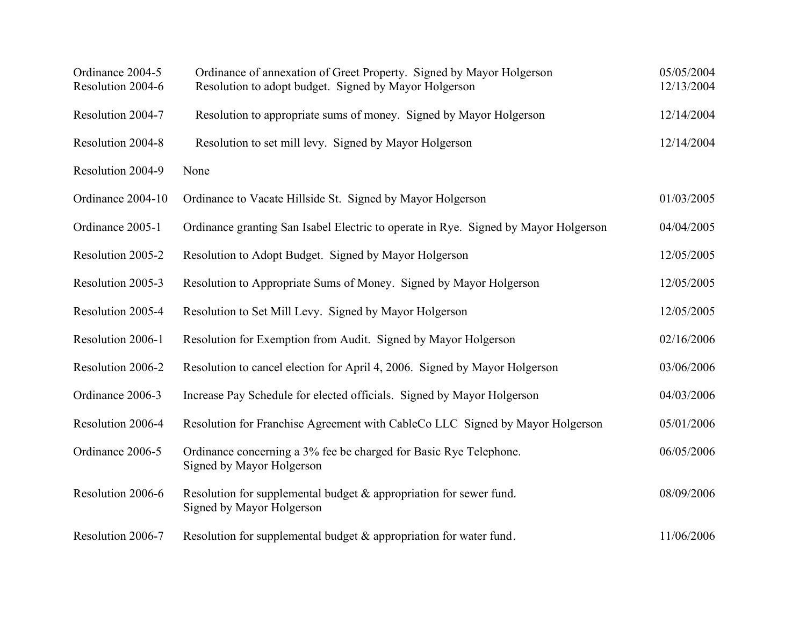| Ordinance 2004-5<br>Resolution 2004-6 | Ordinance of annexation of Greet Property. Signed by Mayor Holgerson<br>Resolution to adopt budget. Signed by Mayor Holgerson | 05/05/2004<br>12/13/2004 |
|---------------------------------------|-------------------------------------------------------------------------------------------------------------------------------|--------------------------|
| Resolution 2004-7                     | Resolution to appropriate sums of money. Signed by Mayor Holgerson                                                            | 12/14/2004               |
| Resolution 2004-8                     | Resolution to set mill levy. Signed by Mayor Holgerson                                                                        | 12/14/2004               |
| Resolution 2004-9                     | None                                                                                                                          |                          |
| Ordinance 2004-10                     | Ordinance to Vacate Hillside St. Signed by Mayor Holgerson                                                                    | 01/03/2005               |
| Ordinance 2005-1                      | Ordinance granting San Isabel Electric to operate in Rye. Signed by Mayor Holgerson                                           | 04/04/2005               |
| Resolution 2005-2                     | Resolution to Adopt Budget. Signed by Mayor Holgerson                                                                         | 12/05/2005               |
| Resolution 2005-3                     | Resolution to Appropriate Sums of Money. Signed by Mayor Holgerson                                                            | 12/05/2005               |
| Resolution 2005-4                     | Resolution to Set Mill Levy. Signed by Mayor Holgerson                                                                        | 12/05/2005               |
| Resolution 2006-1                     | Resolution for Exemption from Audit. Signed by Mayor Holgerson                                                                | 02/16/2006               |
| Resolution 2006-2                     | Resolution to cancel election for April 4, 2006. Signed by Mayor Holgerson                                                    | 03/06/2006               |
| Ordinance 2006-3                      | Increase Pay Schedule for elected officials. Signed by Mayor Holgerson                                                        | 04/03/2006               |
| Resolution 2006-4                     | Resolution for Franchise Agreement with CableCo LLC Signed by Mayor Holgerson                                                 | 05/01/2006               |
| Ordinance 2006-5                      | Ordinance concerning a 3% fee be charged for Basic Rye Telephone.<br>Signed by Mayor Holgerson                                | 06/05/2006               |
| Resolution 2006-6                     | Resolution for supplemental budget & appropriation for sewer fund.<br>Signed by Mayor Holgerson                               | 08/09/2006               |
| Resolution 2006-7                     | Resolution for supplemental budget & appropriation for water fund.                                                            | 11/06/2006               |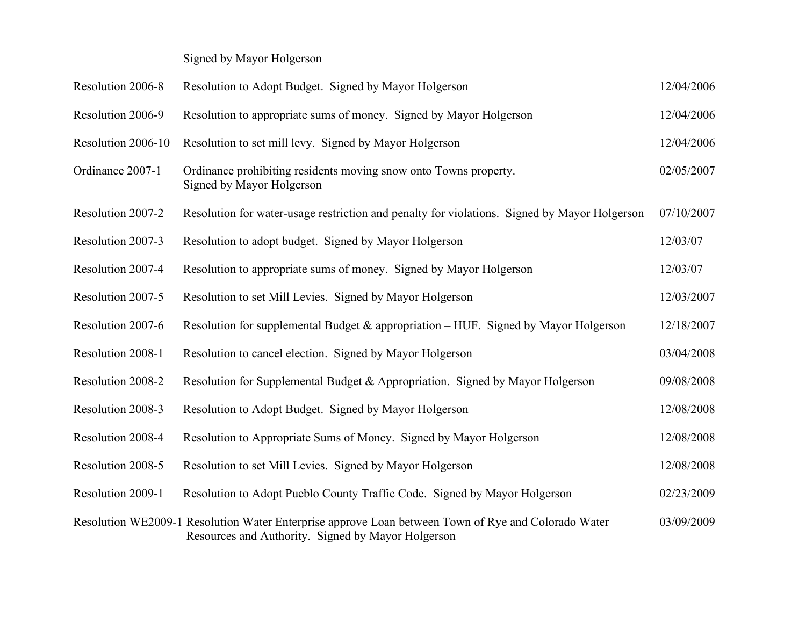Signed by Mayor Holgerson

| Resolution 2006-8  | Resolution to Adopt Budget. Signed by Mayor Holgerson                                                                                                     | 12/04/2006 |
|--------------------|-----------------------------------------------------------------------------------------------------------------------------------------------------------|------------|
| Resolution 2006-9  | Resolution to appropriate sums of money. Signed by Mayor Holgerson                                                                                        | 12/04/2006 |
| Resolution 2006-10 | Resolution to set mill levy. Signed by Mayor Holgerson                                                                                                    | 12/04/2006 |
| Ordinance 2007-1   | Ordinance prohibiting residents moving snow onto Towns property.<br>Signed by Mayor Holgerson                                                             | 02/05/2007 |
| Resolution 2007-2  | Resolution for water-usage restriction and penalty for violations. Signed by Mayor Holgerson                                                              | 07/10/2007 |
| Resolution 2007-3  | Resolution to adopt budget. Signed by Mayor Holgerson                                                                                                     | 12/03/07   |
| Resolution 2007-4  | Resolution to appropriate sums of money. Signed by Mayor Holgerson                                                                                        | 12/03/07   |
| Resolution 2007-5  | Resolution to set Mill Levies. Signed by Mayor Holgerson                                                                                                  | 12/03/2007 |
| Resolution 2007-6  | Resolution for supplemental Budget & appropriation – HUF. Signed by Mayor Holgerson                                                                       | 12/18/2007 |
| Resolution 2008-1  | Resolution to cancel election. Signed by Mayor Holgerson                                                                                                  | 03/04/2008 |
| Resolution 2008-2  | Resolution for Supplemental Budget & Appropriation. Signed by Mayor Holgerson                                                                             | 09/08/2008 |
| Resolution 2008-3  | Resolution to Adopt Budget. Signed by Mayor Holgerson                                                                                                     | 12/08/2008 |
| Resolution 2008-4  | Resolution to Appropriate Sums of Money. Signed by Mayor Holgerson                                                                                        | 12/08/2008 |
| Resolution 2008-5  | Resolution to set Mill Levies. Signed by Mayor Holgerson                                                                                                  | 12/08/2008 |
| Resolution 2009-1  | Resolution to Adopt Pueblo County Traffic Code. Signed by Mayor Holgerson                                                                                 | 02/23/2009 |
|                    | Resolution WE2009-1 Resolution Water Enterprise approve Loan between Town of Rye and Colorado Water<br>Resources and Authority. Signed by Mayor Holgerson | 03/09/2009 |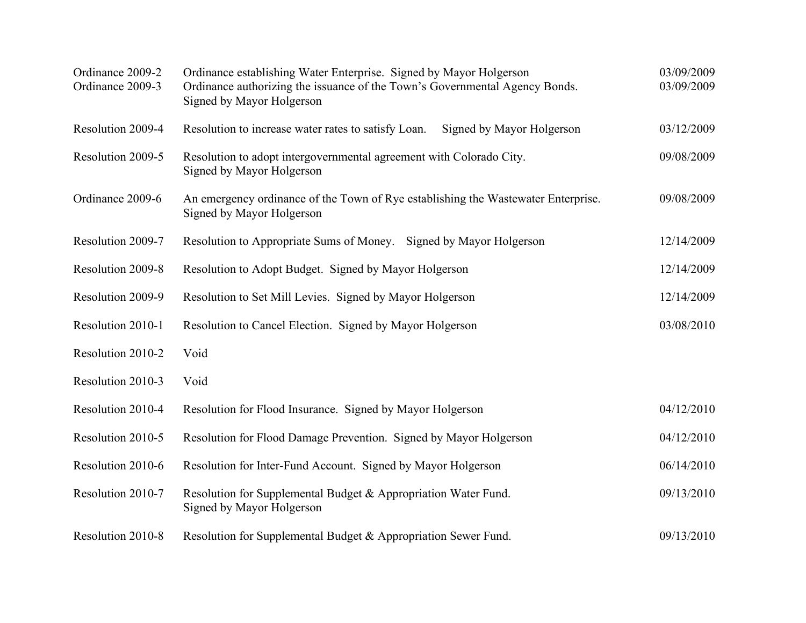| Ordinance 2009-2<br>Ordinance 2009-3 | Ordinance establishing Water Enterprise. Signed by Mayor Holgerson<br>Ordinance authorizing the issuance of the Town's Governmental Agency Bonds.<br>Signed by Mayor Holgerson | 03/09/2009<br>03/09/2009 |
|--------------------------------------|--------------------------------------------------------------------------------------------------------------------------------------------------------------------------------|--------------------------|
| Resolution 2009-4                    | Resolution to increase water rates to satisfy Loan.<br>Signed by Mayor Holgerson                                                                                               | 03/12/2009               |
| Resolution 2009-5                    | Resolution to adopt intergovernmental agreement with Colorado City.<br>Signed by Mayor Holgerson                                                                               | 09/08/2009               |
| Ordinance 2009-6                     | An emergency ordinance of the Town of Rye establishing the Wastewater Enterprise.<br>Signed by Mayor Holgerson                                                                 | 09/08/2009               |
| Resolution 2009-7                    | Resolution to Appropriate Sums of Money. Signed by Mayor Holgerson                                                                                                             | 12/14/2009               |
| Resolution 2009-8                    | Resolution to Adopt Budget. Signed by Mayor Holgerson                                                                                                                          | 12/14/2009               |
| Resolution 2009-9                    | Resolution to Set Mill Levies. Signed by Mayor Holgerson                                                                                                                       | 12/14/2009               |
| Resolution 2010-1                    | Resolution to Cancel Election. Signed by Mayor Holgerson                                                                                                                       | 03/08/2010               |
| Resolution 2010-2                    | Void                                                                                                                                                                           |                          |
| Resolution 2010-3                    | Void                                                                                                                                                                           |                          |
| Resolution 2010-4                    | Resolution for Flood Insurance. Signed by Mayor Holgerson                                                                                                                      | 04/12/2010               |
| Resolution 2010-5                    | Resolution for Flood Damage Prevention. Signed by Mayor Holgerson                                                                                                              | 04/12/2010               |
| Resolution 2010-6                    | Resolution for Inter-Fund Account. Signed by Mayor Holgerson                                                                                                                   | 06/14/2010               |
| Resolution 2010-7                    | Resolution for Supplemental Budget & Appropriation Water Fund.<br>Signed by Mayor Holgerson                                                                                    | 09/13/2010               |
| Resolution 2010-8                    | Resolution for Supplemental Budget & Appropriation Sewer Fund.                                                                                                                 | 09/13/2010               |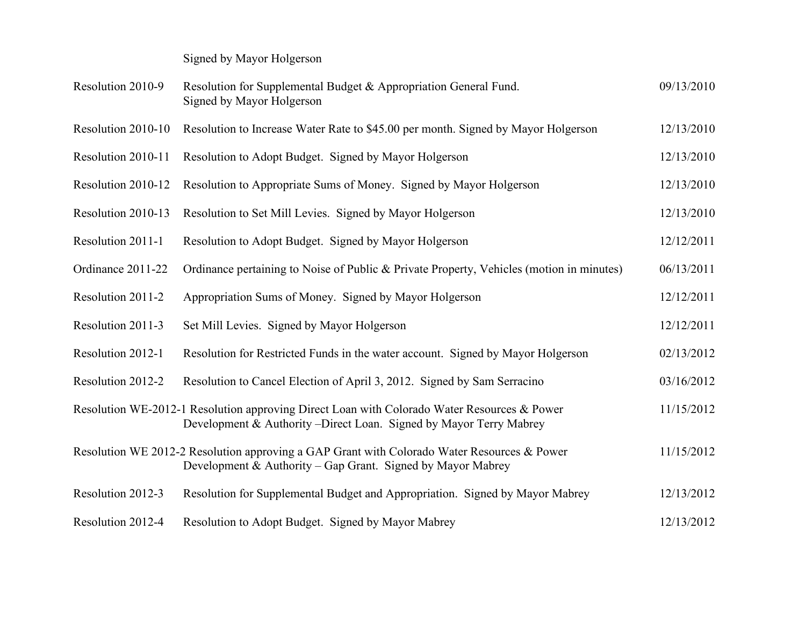Signed by Mayor Holgerson

| Resolution 2010-9  | Resolution for Supplemental Budget & Appropriation General Fund.<br>Signed by Mayor Holgerson                                                                      | 09/13/2010 |
|--------------------|--------------------------------------------------------------------------------------------------------------------------------------------------------------------|------------|
| Resolution 2010-10 | Resolution to Increase Water Rate to \$45.00 per month. Signed by Mayor Holgerson                                                                                  | 12/13/2010 |
| Resolution 2010-11 | Resolution to Adopt Budget. Signed by Mayor Holgerson                                                                                                              | 12/13/2010 |
| Resolution 2010-12 | Resolution to Appropriate Sums of Money. Signed by Mayor Holgerson                                                                                                 | 12/13/2010 |
| Resolution 2010-13 | Resolution to Set Mill Levies. Signed by Mayor Holgerson                                                                                                           | 12/13/2010 |
| Resolution 2011-1  | Resolution to Adopt Budget. Signed by Mayor Holgerson                                                                                                              | 12/12/2011 |
| Ordinance 2011-22  | Ordinance pertaining to Noise of Public & Private Property, Vehicles (motion in minutes)                                                                           | 06/13/2011 |
| Resolution 2011-2  | Appropriation Sums of Money. Signed by Mayor Holgerson                                                                                                             | 12/12/2011 |
| Resolution 2011-3  | Set Mill Levies. Signed by Mayor Holgerson                                                                                                                         | 12/12/2011 |
| Resolution 2012-1  | Resolution for Restricted Funds in the water account. Signed by Mayor Holgerson                                                                                    | 02/13/2012 |
| Resolution 2012-2  | Resolution to Cancel Election of April 3, 2012. Signed by Sam Serracino                                                                                            | 03/16/2012 |
|                    | Resolution WE-2012-1 Resolution approving Direct Loan with Colorado Water Resources & Power<br>Development & Authority – Direct Loan. Signed by Mayor Terry Mabrey | 11/15/2012 |
|                    | Resolution WE 2012-2 Resolution approving a GAP Grant with Colorado Water Resources & Power<br>Development & Authority – Gap Grant. Signed by Mayor Mabrey         | 11/15/2012 |
| Resolution 2012-3  | Resolution for Supplemental Budget and Appropriation. Signed by Mayor Mabrey                                                                                       | 12/13/2012 |
| Resolution 2012-4  | Resolution to Adopt Budget. Signed by Mayor Mabrey                                                                                                                 | 12/13/2012 |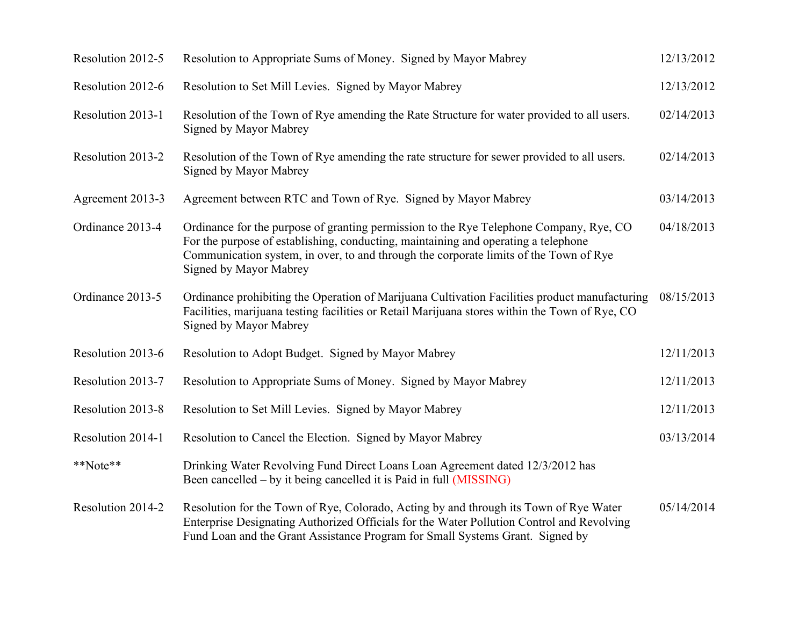| Resolution 2012-5 | Resolution to Appropriate Sums of Money. Signed by Mayor Mabrey                                                                                                                                                                                                                                 | 12/13/2012 |
|-------------------|-------------------------------------------------------------------------------------------------------------------------------------------------------------------------------------------------------------------------------------------------------------------------------------------------|------------|
| Resolution 2012-6 | Resolution to Set Mill Levies. Signed by Mayor Mabrey                                                                                                                                                                                                                                           | 12/13/2012 |
| Resolution 2013-1 | Resolution of the Town of Rye amending the Rate Structure for water provided to all users.<br>Signed by Mayor Mabrey                                                                                                                                                                            | 02/14/2013 |
| Resolution 2013-2 | Resolution of the Town of Rye amending the rate structure for sewer provided to all users.<br>Signed by Mayor Mabrey                                                                                                                                                                            | 02/14/2013 |
| Agreement 2013-3  | Agreement between RTC and Town of Rye. Signed by Mayor Mabrey                                                                                                                                                                                                                                   | 03/14/2013 |
| Ordinance 2013-4  | Ordinance for the purpose of granting permission to the Rye Telephone Company, Rye, CO<br>For the purpose of establishing, conducting, maintaining and operating a telephone<br>Communication system, in over, to and through the corporate limits of the Town of Rye<br>Signed by Mayor Mabrey | 04/18/2013 |
| Ordinance 2013-5  | Ordinance prohibiting the Operation of Marijuana Cultivation Facilities product manufacturing<br>Facilities, marijuana testing facilities or Retail Marijuana stores within the Town of Rye, CO<br>Signed by Mayor Mabrey                                                                       | 08/15/2013 |
| Resolution 2013-6 | Resolution to Adopt Budget. Signed by Mayor Mabrey                                                                                                                                                                                                                                              | 12/11/2013 |
| Resolution 2013-7 | Resolution to Appropriate Sums of Money. Signed by Mayor Mabrey                                                                                                                                                                                                                                 | 12/11/2013 |
| Resolution 2013-8 | Resolution to Set Mill Levies. Signed by Mayor Mabrey                                                                                                                                                                                                                                           | 12/11/2013 |
| Resolution 2014-1 | Resolution to Cancel the Election. Signed by Mayor Mabrey                                                                                                                                                                                                                                       | 03/13/2014 |
| **Note**          | Drinking Water Revolving Fund Direct Loans Loan Agreement dated 12/3/2012 has<br>Been cancelled – by it being cancelled it is Paid in full (MISSING)                                                                                                                                            |            |
| Resolution 2014-2 | Resolution for the Town of Rye, Colorado, Acting by and through its Town of Rye Water<br>Enterprise Designating Authorized Officials for the Water Pollution Control and Revolving<br>Fund Loan and the Grant Assistance Program for Small Systems Grant. Signed by                             | 05/14/2014 |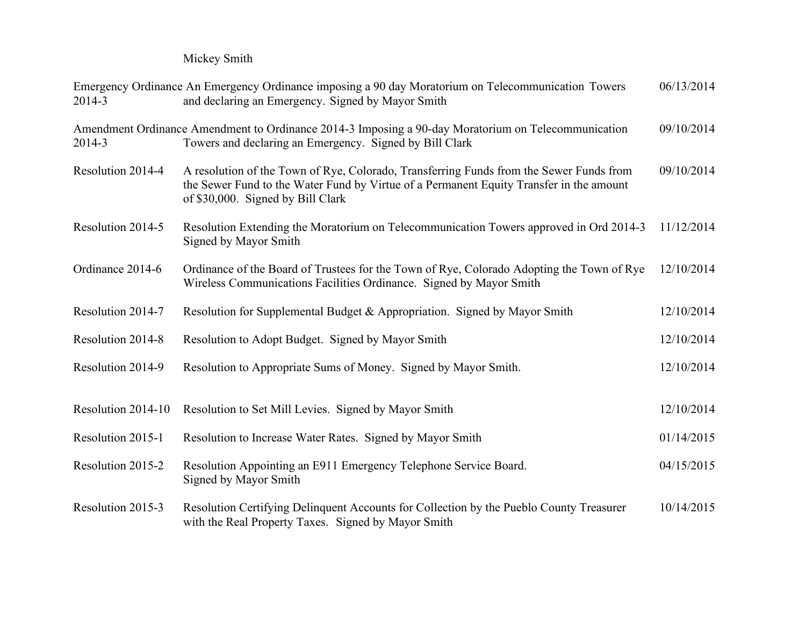Mickey Smith

| 2014-3             | Emergency Ordinance An Emergency Ordinance imposing a 90 day Moratorium on Telecommunication Towers<br>and declaring an Emergency. Signed by Mayor Smith                                                                | 06/13/2014 |
|--------------------|-------------------------------------------------------------------------------------------------------------------------------------------------------------------------------------------------------------------------|------------|
| 2014-3             | Amendment Ordinance Amendment to Ordinance 2014-3 Imposing a 90-day Moratorium on Telecommunication<br>09/10/2014<br>Towers and declaring an Emergency. Signed by Bill Clark                                            |            |
| Resolution 2014-4  | A resolution of the Town of Rye, Colorado, Transferring Funds from the Sewer Funds from<br>the Sewer Fund to the Water Fund by Virtue of a Permanent Equity Transfer in the amount<br>of \$30,000. Signed by Bill Clark | 09/10/2014 |
| Resolution 2014-5  | Resolution Extending the Moratorium on Telecommunication Towers approved in Ord 2014-3<br>Signed by Mayor Smith                                                                                                         | 11/12/2014 |
| Ordinance 2014-6   | Ordinance of the Board of Trustees for the Town of Rye, Colorado Adopting the Town of Rye<br>Wireless Communications Facilities Ordinance. Signed by Mayor Smith                                                        | 12/10/2014 |
| Resolution 2014-7  | Resolution for Supplemental Budget & Appropriation. Signed by Mayor Smith                                                                                                                                               | 12/10/2014 |
| Resolution 2014-8  | Resolution to Adopt Budget. Signed by Mayor Smith                                                                                                                                                                       | 12/10/2014 |
| Resolution 2014-9  | Resolution to Appropriate Sums of Money. Signed by Mayor Smith.                                                                                                                                                         | 12/10/2014 |
| Resolution 2014-10 | Resolution to Set Mill Levies. Signed by Mayor Smith                                                                                                                                                                    | 12/10/2014 |
| Resolution 2015-1  | Resolution to Increase Water Rates. Signed by Mayor Smith                                                                                                                                                               | 01/14/2015 |
| Resolution 2015-2  | Resolution Appointing an E911 Emergency Telephone Service Board.<br>Signed by Mayor Smith                                                                                                                               | 04/15/2015 |
| Resolution 2015-3  | Resolution Certifying Delinquent Accounts for Collection by the Pueblo County Treasurer<br>with the Real Property Taxes. Signed by Mayor Smith                                                                          | 10/14/2015 |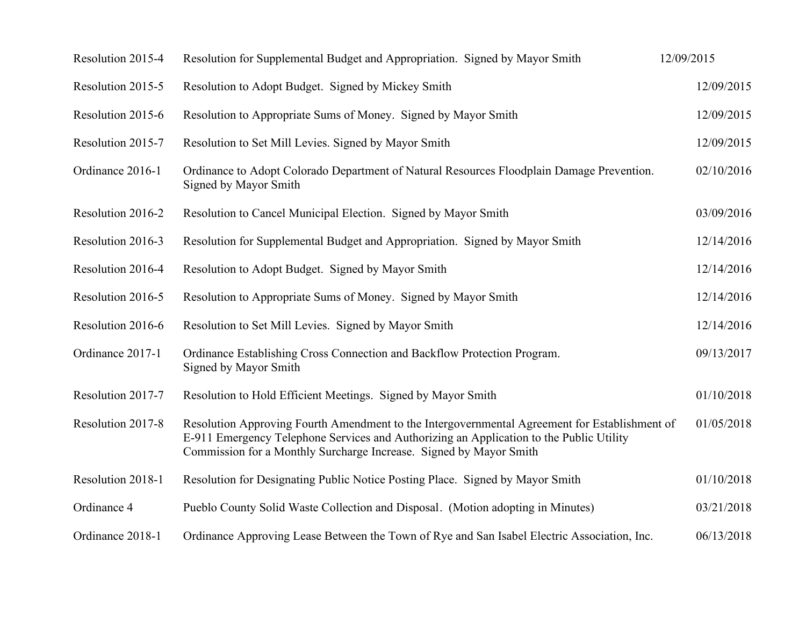| Resolution 2015-4 | Resolution for Supplemental Budget and Appropriation. Signed by Mayor Smith                                                                                                                                                                                    | 12/09/2015 |
|-------------------|----------------------------------------------------------------------------------------------------------------------------------------------------------------------------------------------------------------------------------------------------------------|------------|
| Resolution 2015-5 | Resolution to Adopt Budget. Signed by Mickey Smith                                                                                                                                                                                                             | 12/09/2015 |
| Resolution 2015-6 | Resolution to Appropriate Sums of Money. Signed by Mayor Smith                                                                                                                                                                                                 | 12/09/2015 |
| Resolution 2015-7 | Resolution to Set Mill Levies. Signed by Mayor Smith                                                                                                                                                                                                           | 12/09/2015 |
| Ordinance 2016-1  | Ordinance to Adopt Colorado Department of Natural Resources Floodplain Damage Prevention.<br>Signed by Mayor Smith                                                                                                                                             | 02/10/2016 |
| Resolution 2016-2 | Resolution to Cancel Municipal Election. Signed by Mayor Smith                                                                                                                                                                                                 | 03/09/2016 |
| Resolution 2016-3 | Resolution for Supplemental Budget and Appropriation. Signed by Mayor Smith                                                                                                                                                                                    | 12/14/2016 |
| Resolution 2016-4 | Resolution to Adopt Budget. Signed by Mayor Smith                                                                                                                                                                                                              | 12/14/2016 |
| Resolution 2016-5 | Resolution to Appropriate Sums of Money. Signed by Mayor Smith                                                                                                                                                                                                 | 12/14/2016 |
| Resolution 2016-6 | Resolution to Set Mill Levies. Signed by Mayor Smith                                                                                                                                                                                                           | 12/14/2016 |
| Ordinance 2017-1  | Ordinance Establishing Cross Connection and Backflow Protection Program.<br>Signed by Mayor Smith                                                                                                                                                              | 09/13/2017 |
| Resolution 2017-7 | Resolution to Hold Efficient Meetings. Signed by Mayor Smith                                                                                                                                                                                                   | 01/10/2018 |
| Resolution 2017-8 | Resolution Approving Fourth Amendment to the Intergovernmental Agreement for Establishment of<br>E-911 Emergency Telephone Services and Authorizing an Application to the Public Utility<br>Commission for a Monthly Surcharge Increase. Signed by Mayor Smith | 01/05/2018 |
| Resolution 2018-1 | Resolution for Designating Public Notice Posting Place. Signed by Mayor Smith                                                                                                                                                                                  | 01/10/2018 |
| Ordinance 4       | Pueblo County Solid Waste Collection and Disposal. (Motion adopting in Minutes)                                                                                                                                                                                | 03/21/2018 |
| Ordinance 2018-1  | Ordinance Approving Lease Between the Town of Rye and San Isabel Electric Association, Inc.                                                                                                                                                                    | 06/13/2018 |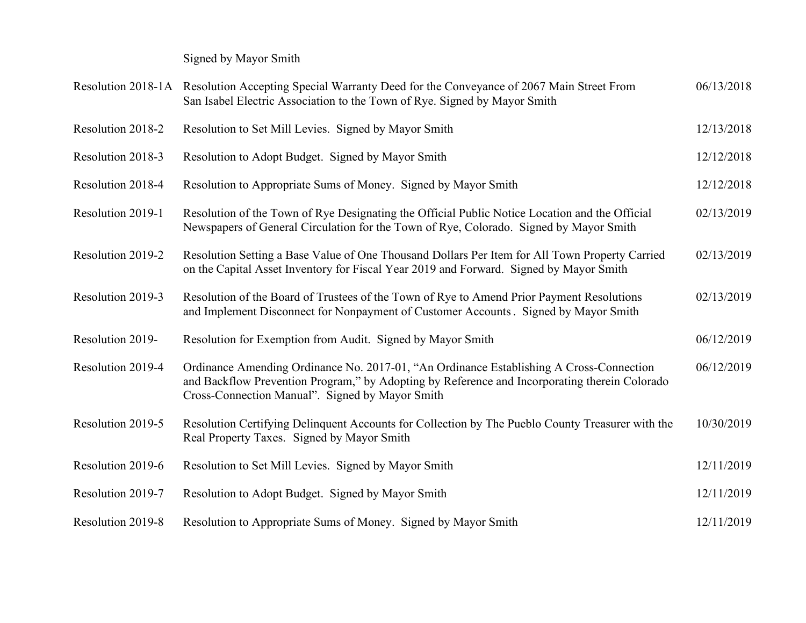Signed by Mayor Smith

|                   | Resolution 2018-1A Resolution Accepting Special Warranty Deed for the Conveyance of 2067 Main Street From<br>San Isabel Electric Association to the Town of Rye. Signed by Mayor Smith                                                      | 06/13/2018 |
|-------------------|---------------------------------------------------------------------------------------------------------------------------------------------------------------------------------------------------------------------------------------------|------------|
| Resolution 2018-2 | Resolution to Set Mill Levies. Signed by Mayor Smith                                                                                                                                                                                        | 12/13/2018 |
| Resolution 2018-3 | Resolution to Adopt Budget. Signed by Mayor Smith                                                                                                                                                                                           | 12/12/2018 |
| Resolution 2018-4 | Resolution to Appropriate Sums of Money. Signed by Mayor Smith                                                                                                                                                                              | 12/12/2018 |
| Resolution 2019-1 | Resolution of the Town of Rye Designating the Official Public Notice Location and the Official<br>Newspapers of General Circulation for the Town of Rye, Colorado. Signed by Mayor Smith                                                    | 02/13/2019 |
| Resolution 2019-2 | Resolution Setting a Base Value of One Thousand Dollars Per Item for All Town Property Carried<br>on the Capital Asset Inventory for Fiscal Year 2019 and Forward. Signed by Mayor Smith                                                    | 02/13/2019 |
| Resolution 2019-3 | Resolution of the Board of Trustees of the Town of Rye to Amend Prior Payment Resolutions<br>and Implement Disconnect for Nonpayment of Customer Accounts. Signed by Mayor Smith                                                            | 02/13/2019 |
| Resolution 2019-  | Resolution for Exemption from Audit. Signed by Mayor Smith                                                                                                                                                                                  | 06/12/2019 |
| Resolution 2019-4 | Ordinance Amending Ordinance No. 2017-01, "An Ordinance Establishing A Cross-Connection<br>and Backflow Prevention Program," by Adopting by Reference and Incorporating therein Colorado<br>Cross-Connection Manual". Signed by Mayor Smith | 06/12/2019 |
| Resolution 2019-5 | Resolution Certifying Delinquent Accounts for Collection by The Pueblo County Treasurer with the<br>Real Property Taxes. Signed by Mayor Smith                                                                                              | 10/30/2019 |
| Resolution 2019-6 | Resolution to Set Mill Levies. Signed by Mayor Smith                                                                                                                                                                                        | 12/11/2019 |
| Resolution 2019-7 | Resolution to Adopt Budget. Signed by Mayor Smith                                                                                                                                                                                           | 12/11/2019 |
| Resolution 2019-8 | Resolution to Appropriate Sums of Money. Signed by Mayor Smith                                                                                                                                                                              | 12/11/2019 |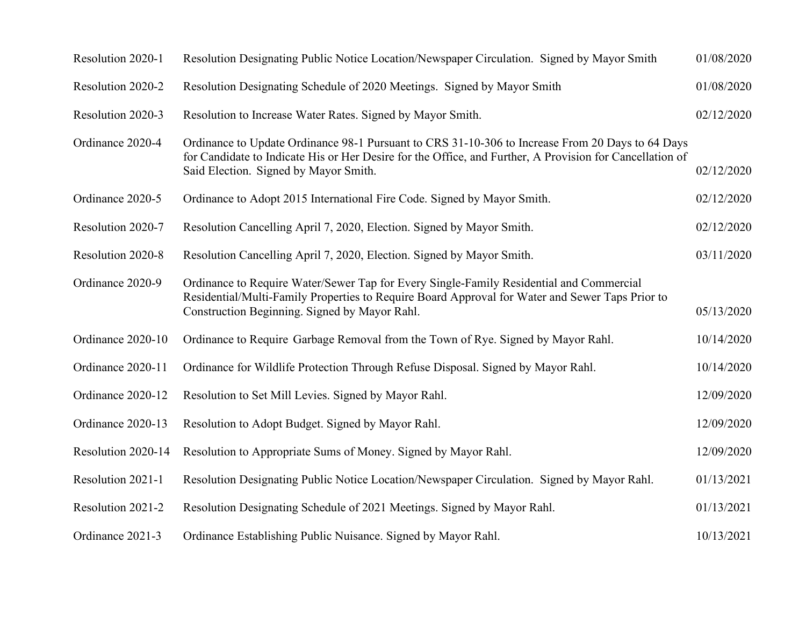| Resolution 2020-1  | Resolution Designating Public Notice Location/Newspaper Circulation. Signed by Mayor Smith                                                                                                                                                            | 01/08/2020 |
|--------------------|-------------------------------------------------------------------------------------------------------------------------------------------------------------------------------------------------------------------------------------------------------|------------|
| Resolution 2020-2  | Resolution Designating Schedule of 2020 Meetings. Signed by Mayor Smith                                                                                                                                                                               | 01/08/2020 |
| Resolution 2020-3  | Resolution to Increase Water Rates. Signed by Mayor Smith.                                                                                                                                                                                            | 02/12/2020 |
| Ordinance 2020-4   | Ordinance to Update Ordinance 98-1 Pursuant to CRS 31-10-306 to Increase From 20 Days to 64 Days<br>for Candidate to Indicate His or Her Desire for the Office, and Further, A Provision for Cancellation of<br>Said Election. Signed by Mayor Smith. | 02/12/2020 |
| Ordinance 2020-5   | Ordinance to Adopt 2015 International Fire Code. Signed by Mayor Smith.                                                                                                                                                                               | 02/12/2020 |
| Resolution 2020-7  | Resolution Cancelling April 7, 2020, Election. Signed by Mayor Smith.                                                                                                                                                                                 | 02/12/2020 |
| Resolution 2020-8  | Resolution Cancelling April 7, 2020, Election. Signed by Mayor Smith.                                                                                                                                                                                 | 03/11/2020 |
| Ordinance 2020-9   | Ordinance to Require Water/Sewer Tap for Every Single-Family Residential and Commercial<br>Residential/Multi-Family Properties to Require Board Approval for Water and Sewer Taps Prior to<br>Construction Beginning. Signed by Mayor Rahl.           | 05/13/2020 |
| Ordinance 2020-10  | Ordinance to Require Garbage Removal from the Town of Rye. Signed by Mayor Rahl.                                                                                                                                                                      | 10/14/2020 |
| Ordinance 2020-11  | Ordinance for Wildlife Protection Through Refuse Disposal. Signed by Mayor Rahl.                                                                                                                                                                      | 10/14/2020 |
| Ordinance 2020-12  | Resolution to Set Mill Levies. Signed by Mayor Rahl.                                                                                                                                                                                                  | 12/09/2020 |
| Ordinance 2020-13  | Resolution to Adopt Budget. Signed by Mayor Rahl.                                                                                                                                                                                                     | 12/09/2020 |
| Resolution 2020-14 | Resolution to Appropriate Sums of Money. Signed by Mayor Rahl.                                                                                                                                                                                        | 12/09/2020 |
| Resolution 2021-1  | Resolution Designating Public Notice Location/Newspaper Circulation. Signed by Mayor Rahl.                                                                                                                                                            | 01/13/2021 |
| Resolution 2021-2  | Resolution Designating Schedule of 2021 Meetings. Signed by Mayor Rahl.                                                                                                                                                                               | 01/13/2021 |
| Ordinance 2021-3   | Ordinance Establishing Public Nuisance. Signed by Mayor Rahl.                                                                                                                                                                                         | 10/13/2021 |